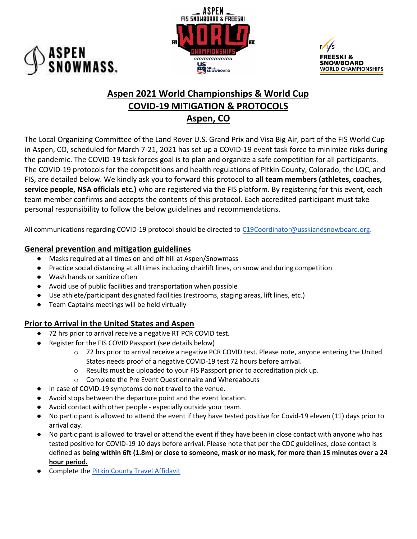





## Aspen 2021 World Championships & World Cup COVID-19 MITIGATION & PROTOCOLS Aspen, CO

The Local Organizing Committee of the Land Rover U.S. Grand Prix and Visa Big Air, part of the FIS World Cup in Aspen, CO, scheduled for March 7-21, 2021 has set up a COVID-19 event task force to minimize risks during the pandemic. The COVID-19 task forces goal is to plan and organize a safe competition for all participants. The COVID-19 protocols for the competitions and health regulations of Pitkin County, Colorado, the LOC, and FIS, are detailed below. We kindly ask you to forward this protocol to all team members (athletes, coaches, service people, NSA officials etc.) who are registered via the FIS platform. By registering for this event, each team member confirms and accepts the contents of this protocol. Each accredited participant must take personal responsibility to follow the below guidelines and recommendations.

All communications regarding COVID-19 protocol should be directed to C19Coordinator@usskiandsnowboard.org.

## General prevention and mitigation guidelines

- Masks required at all times on and off hill at Aspen/Snowmass
- Practice social distancing at all times including chairlift lines, on snow and during competition
- Wash hands or sanitize often
- Avoid use of public facilities and transportation when possible
- Use athlete/participant designated facilities (restrooms, staging areas, lift lines, etc.)
- Team Captains meetings will be held virtually

## Prior to Arrival in the United States and Aspen

- 72 hrs prior to arrival receive a negative RT PCR COVID test.
- Register for the FIS COVID Passport (see details below)
	- o 72 hrs prior to arrival receive a negative PCR COVID test. Please note, anyone entering the United States needs proof of a negative COVID-19 test 72 hours before arrival.
	- o Results must be uploaded to your FIS Passport prior to accreditation pick up.
	- o Complete the Pre Event Questionnaire and Whereabouts
- In case of COVID-19 symptoms do not travel to the venue.
- Avoid stops between the departure point and the event location.
- Avoid contact with other people especially outside your team.
- No participant is allowed to attend the event if they have tested positive for Covid-19 eleven (11) days prior to arrival day.
- No participant is allowed to travel or attend the event if they have been in close contact with anyone who has tested positive for COVID-19 10 days before arrival. Please note that per the CDC guidelines, close contact is defined as being within 6ft (1.8m) or close to someone, mask or no mask, for more than 15 minutes over a 24 hour period.
- **•** Complete the **Pitkin County Travel Affidavit**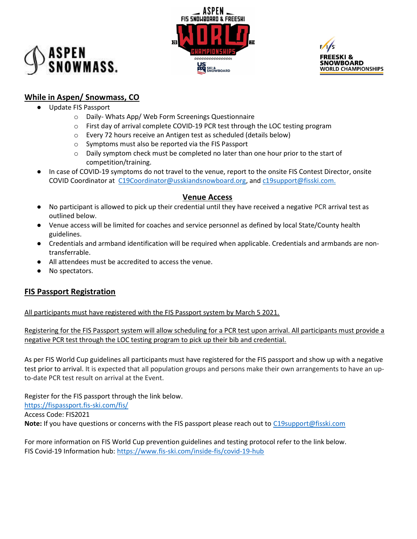





## While in Aspen/ Snowmass, CO

- Update FIS Passport
	- o Daily- Whats App/ Web Form Screenings Questionnaire
	- $\circ$  First day of arrival complete COVID-19 PCR test through the LOC testing program
	- o Every 72 hours receive an Antigen test as scheduled (details below)
	- o Symptoms must also be reported via the FIS Passport
	- $\circ$  Daily symptom check must be completed no later than one hour prior to the start of competition/training.
- In case of COVID-19 symptoms do not travel to the venue, report to the onsite FIS Contest Director, onsite COVID Coordinator at C19Coordinator@usskiandsnowboard.org, and c19support@fisski.com.

## Venue Access

- No participant is allowed to pick up their credential until they have received a negative PCR arrival test as outlined below.
- Venue access will be limited for coaches and service personnel as defined by local State/County health guidelines.
- Credentials and armband identification will be required when applicable. Credentials and armbands are nontransferrable.
- All attendees must be accredited to access the venue.
- No spectators.

## FIS Passport Registration

All participants must have registered with the FIS Passport system by March 5 2021.

Registering for the FIS Passport system will allow scheduling for a PCR test upon arrival. All participants must provide a negative PCR test through the LOC testing program to pick up their bib and credential.

As per FIS World Cup guidelines all participants must have registered for the FIS passport and show up with a negative test prior to arrival. It is expected that all population groups and persons make their own arrangements to have an upto-date PCR test result on arrival at the Event.

Register for the FIS passport through the link below. https://fispassport.fis-ski.com/fis/ Access Code: FIS2021 Note: If you have questions or concerns with the FIS passport please reach out to C19support@fisski.com

For more information on FIS World Cup prevention guidelines and testing protocol refer to the link below. FIS Covid-19 Information hub: https://www.fis-ski.com/inside-fis/covid-19-hub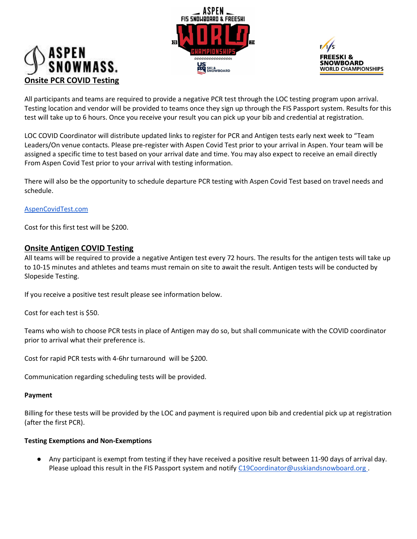# ISPEN<br>:NOWMASS. Onsite PCR COVID Testing





All participants and teams are required to provide a negative PCR test through the LOC testing program upon arrival. Testing location and vendor will be provided to teams once they sign up through the FIS Passport system. Results for this test will take up to 6 hours. Once you receive your result you can pick up your bib and credential at registration.

LOC COVID Coordinator will distribute updated links to register for PCR and Antigen tests early next week to "Team Leaders/On venue contacts. Please pre-register with Aspen Covid Test prior to your arrival in Aspen. Your team will be assigned a specific time to test based on your arrival date and time. You may also expect to receive an email directly From Aspen Covid Test prior to your arrival with testing information.

There will also be the opportunity to schedule departure PCR testing with Aspen Covid Test based on travel needs and schedule.

#### AspenCovidTest.com

Cost for this first test will be \$200.

#### Onsite Antigen COVID Testing

All teams will be required to provide a negative Antigen test every 72 hours. The results for the antigen tests will take up to 10-15 minutes and athletes and teams must remain on site to await the result. Antigen tests will be conducted by Slopeside Testing.

If you receive a positive test result please see information below.

Cost for each test is \$50.

Teams who wish to choose PCR tests in place of Antigen may do so, but shall communicate with the COVID coordinator prior to arrival what their preference is.

Cost for rapid PCR tests with 4-6hr turnaround will be \$200.

Communication regarding scheduling tests will be provided.

#### Payment

Billing for these tests will be provided by the LOC and payment is required upon bib and credential pick up at registration (after the first PCR).

#### Testing Exemptions and Non-Exemptions

Any participant is exempt from testing if they have received a positive result between 11-90 days of arrival day. Please upload this result in the FIS Passport system and notify C19Coordinator@usskiandsnowboard.org.